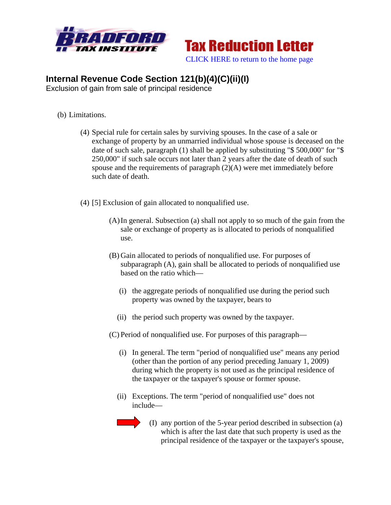



## **Internal Revenue Code Section 121(b)(4)(C)(ii)(I)**

Exclusion of gain from sale of principal residence

- (b) Limitations.
	- (4) Special rule for certain sales by surviving spouses. In the case of a sale or exchange of property by an unmarried individual whose spouse is deceased on the date of such sale, paragraph (1) shall be applied by substituting "\$ 500,000" for "\$ 250,000" if such sale occurs not later than 2 years after the date of death of such spouse and the requirements of paragraph  $(2)(A)$  were met immediately before such date of death.
	- (4) [5] Exclusion of gain allocated to nonqualified use.
		- (A)In general. Subsection (a) shall not apply to so much of the gain from the sale or exchange of property as is allocated to periods of nonqualified use.
		- (B) Gain allocated to periods of nonqualified use. For purposes of subparagraph (A), gain shall be allocated to periods of nonqualified use based on the ratio which—
			- (i) the aggregate periods of nonqualified use during the period such property was owned by the taxpayer, bears to
			- (ii) the period such property was owned by the taxpayer.
		- (C) Period of nonqualified use. For purposes of this paragraph—
			- (i) In general. The term "period of nonqualified use" means any period (other than the portion of any period preceding January 1, 2009) during which the property is not used as the principal residence of the taxpayer or the taxpayer's spouse or former spouse.
			- (ii) Exceptions. The term "period of nonqualified use" does not include—



(I) any portion of the 5-year period described in subsection (a) which is after the last date that such property is used as the principal residence of the taxpayer or the taxpayer's spouse,